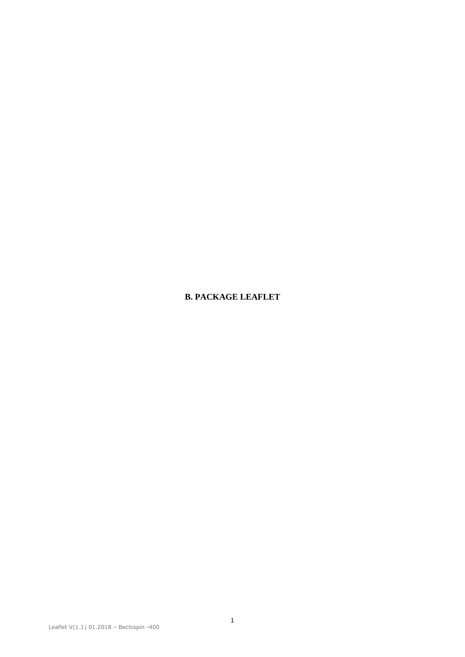# **B. PACKAGE LEAFLET**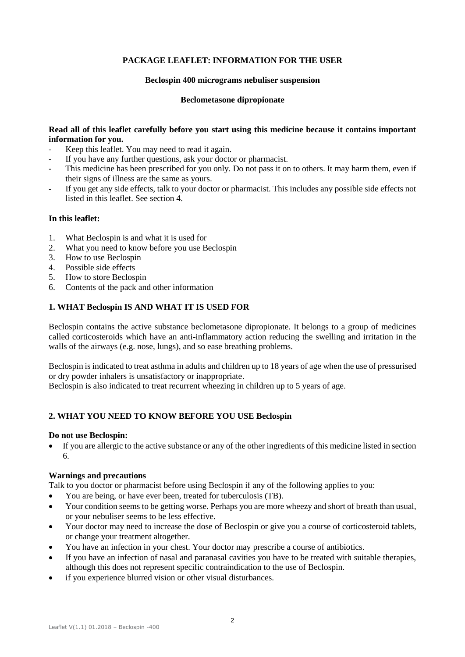# **PACKAGE LEAFLET: INFORMATION FOR THE USER**

### **Beclospin 400 micrograms nebuliser suspension**

### **Beclometasone dipropionate**

## **Read all of this leaflet carefully before you start using this medicine because it contains important information for you.**

- Keep this leaflet. You may need to read it again.
- If you have any further questions, ask your doctor or pharmacist.
- This medicine has been prescribed for you only. Do not pass it on to others. It may harm them, even if their signs of illness are the same as yours.
- If you get any side effects, talk to your doctor or pharmacist. This includes any possible side effects not listed in this leaflet. See section 4.

# **In this leaflet:**

- 1. What Beclospin is and what it is used for
- 2. What you need to know before you use Beclospin
- 3. How to use Beclospin
- 4. Possible side effects
- 5. How to store Beclospin
- 6. Contents of the pack and other information

## **1. WHAT Beclospin IS AND WHAT IT IS USED FOR**

Beclospin contains the active substance beclometasone dipropionate. It belongs to a group of medicines called corticosteroids which have an anti-inflammatory action reducing the swelling and irritation in the walls of the airways (e.g. nose, lungs), and so ease breathing problems.

Beclospin is indicated to treat asthma in adults and children up to 18 years of age when the use of pressurised or dry powder inhalers is unsatisfactory or inappropriate.

Beclospin is also indicated to treat recurrent wheezing in children up to 5 years of age.

## **2. WHAT YOU NEED TO KNOW BEFORE YOU USE Beclospin**

#### **Do not use Beclospin:**

 If you are allergic to the active substance or any of the other ingredients of this medicine listed in section 6.

#### **Warnings and precautions**

Talk to you doctor or pharmacist before using Beclospin if any of the following applies to you:

- You are being, or have ever been, treated for tuberculosis (TB).
- Your condition seems to be getting worse. Perhaps you are more wheezy and short of breath than usual, or your nebuliser seems to be less effective.
- Your doctor may need to increase the dose of Beclospin or give you a course of corticosteroid tablets, or change your treatment altogether.
- You have an infection in your chest. Your doctor may prescribe a course of antibiotics.
- If you have an infection of nasal and paranasal cavities you have to be treated with suitable therapies, although this does not represent specific contraindication to the use of Beclospin.
- if you experience blurred vision or other visual disturbances.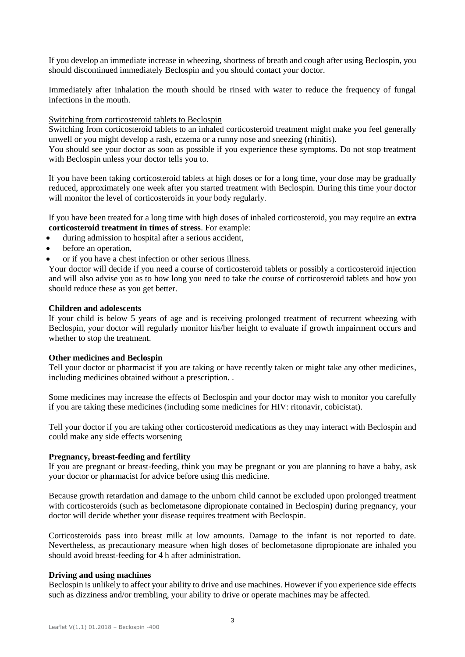If you develop an immediate increase in wheezing, shortness of breath and cough after using Beclospin, you should discontinued immediately Beclospin and you should contact your doctor.

Immediately after inhalation the mouth should be rinsed with water to reduce the frequency of fungal infections in the mouth.

### Switching from corticosteroid tablets to Beclospin

Switching from corticosteroid tablets to an inhaled corticosteroid treatment might make you feel generally unwell or you might develop a rash, eczema or a runny nose and sneezing (rhinitis).

You should see your doctor as soon as possible if you experience these symptoms. Do not stop treatment with Beclospin unless your doctor tells you to.

If you have been taking corticosteroid tablets at high doses or for a long time, your dose may be gradually reduced, approximately one week after you started treatment with Beclospin. During this time your doctor will monitor the level of corticosteroids in your body regularly.

If you have been treated for a long time with high doses of inhaled corticosteroid, you may require an **extra corticosteroid treatment in times of stress**. For example:

- during admission to hospital after a serious accident,
- before an operation,
- or if you have a chest infection or other serious illness.

Your doctor will decide if you need a course of corticosteroid tablets or possibly a corticosteroid injection and will also advise you as to how long you need to take the course of corticosteroid tablets and how you should reduce these as you get better.

### **Children and adolescents**

If your child is below 5 years of age and is receiving prolonged treatment of recurrent wheezing with Beclospin, your doctor will regularly monitor his/her height to evaluate if growth impairment occurs and whether to stop the treatment.

#### **Other medicines and Beclospin**

Tell your doctor or pharmacist if you are taking or have recently taken or might take any other medicines, including medicines obtained without a prescription. .

Some medicines may increase the effects of Beclospin and your doctor may wish to monitor you carefully if you are taking these medicines (including some medicines for HIV: ritonavir, cobicistat).

Tell your doctor if you are taking other corticosteroid medications as they may interact with Beclospin and could make any side effects worsening

## **Pregnancy, breast-feeding and fertility**

If you are pregnant or breast-feeding, think you may be pregnant or you are planning to have a baby, ask your doctor or pharmacist for advice before using this medicine.

Because growth retardation and damage to the unborn child cannot be excluded upon prolonged treatment with corticosteroids (such as beclometasone dipropionate contained in Beclospin) during pregnancy, your doctor will decide whether your disease requires treatment with Beclospin.

Corticosteroids pass into breast milk at low amounts. Damage to the infant is not reported to date. Nevertheless, as precautionary measure when high doses of beclometasone dipropionate are inhaled you should avoid breast-feeding for 4 h after administration.

#### **Driving and using machines**

Beclospin is unlikely to affect your ability to drive and use machines. However if you experience side effects such as dizziness and/or trembling, your ability to drive or operate machines may be affected.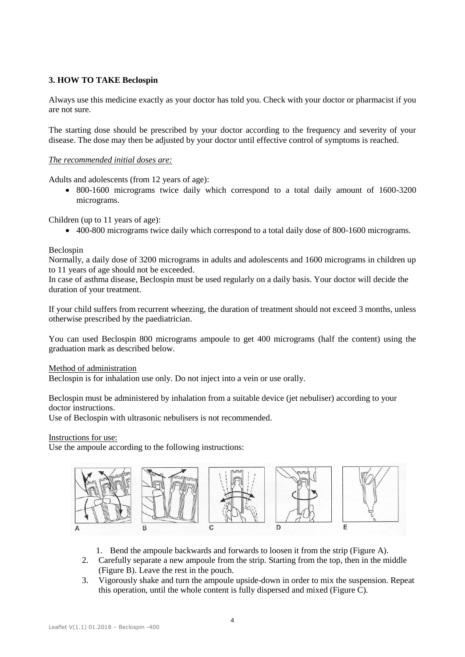# **3. HOW TO TAKE Beclospin**

Always use this medicine exactly as your doctor has told you. Check with your doctor or pharmacist if you are not sure.

The starting dose should be prescribed by your doctor according to the frequency and severity of your disease. The dose may then be adjusted by your doctor until effective control of symptoms is reached.

## *The recommended initial doses are:*

Adults and adolescents (from 12 years of age):

• 800-1600 micrograms twice daily which correspond to a total daily amount of 1600-3200 micrograms.

Children (up to 11 years of age):

400-800 micrograms twice daily which correspond to a total daily dose of 800-1600 micrograms.

## Beclospin

Normally, a daily dose of 3200 micrograms in adults and adolescents and 1600 micrograms in children up to 11 years of age should not be exceeded.

In case of asthma disease, Beclospin must be used regularly on a daily basis. Your doctor will decide the duration of your treatment.

If your child suffers from recurrent wheezing, the duration of treatment should not exceed 3 months, unless otherwise prescribed by the paediatrician.

You can used Beclospin 800 micrograms ampoule to get 400 micrograms (half the content) using the graduation mark as described below.

Method of administration

Beclospin is for inhalation use only. Do not inject into a vein or use orally.

Beclospin must be administered by inhalation from a suitable device (jet nebuliser) according to your doctor instructions.

Use of Beclospin with ultrasonic nebulisers is not recommended.

Instructions for use:

Use the ampoule according to the following instructions:



- 1. Bend the ampoule backwards and forwards to loosen it from the strip (Figure A).
- 2. Carefully separate a new ampoule from the strip. Starting from the top, then in the middle (Figure B). Leave the rest in the pouch.
- 3. Vigorously shake and turn the ampoule upside-down in order to mix the suspension. Repeat this operation, until the whole content is fully dispersed and mixed (Figure C).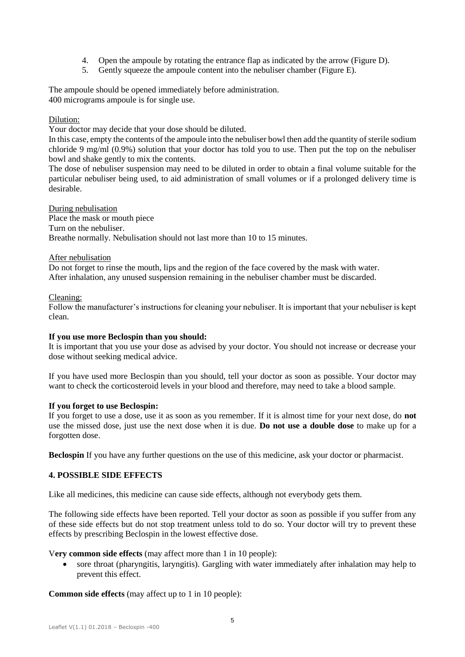- 4. Open the ampoule by rotating the entrance flap as indicated by the arrow (Figure D).
- 5. Gently squeeze the ampoule content into the nebuliser chamber (Figure E).

The ampoule should be opened immediately before administration. 400 micrograms ampoule is for single use.

## Dilution:

Your doctor may decide that your dose should be diluted.

In this case, empty the contents of the ampoule into the nebuliser bowl then add the quantity of sterile sodium chloride 9 mg/ml (0.9%) solution that your doctor has told you to use. Then put the top on the nebuliser bowl and shake gently to mix the contents.

The dose of nebuliser suspension may need to be diluted in order to obtain a final volume suitable for the particular nebuliser being used, to aid administration of small volumes or if a prolonged delivery time is desirable.

During nebulisation Place the mask or mouth piece Turn on the nebuliser. Breathe normally. Nebulisation should not last more than 10 to 15 minutes.

## After nebulisation

Do not forget to rinse the mouth, lips and the region of the face covered by the mask with water. After inhalation, any unused suspension remaining in the nebuliser chamber must be discarded.

## Cleaning:

Follow the manufacturer's instructions for cleaning your nebuliser. It is important that your nebuliser is kept clean.

## **If you use more Beclospin than you should:**

It is important that you use your dose as advised by your doctor. You should not increase or decrease your dose without seeking medical advice.

If you have used more Beclospin than you should, tell your doctor as soon as possible. Your doctor may want to check the corticosteroid levels in your blood and therefore, may need to take a blood sample.

## **If you forget to use Beclospin:**

If you forget to use a dose, use it as soon as you remember. If it is almost time for your next dose, do **not** use the missed dose, just use the next dose when it is due. **Do not use a double dose** to make up for a forgotten dose.

**Beclospin** If you have any further questions on the use of this medicine, ask your doctor or pharmacist.

# **4. POSSIBLE SIDE EFFECTS**

Like all medicines, this medicine can cause side effects, although not everybody gets them.

The following side effects have been reported. Tell your doctor as soon as possible if you suffer from any of these side effects but do not stop treatment unless told to do so. Your doctor will try to prevent these effects by prescribing Beclospin in the lowest effective dose.

V**ery common side effects** (may affect more than 1 in 10 people):

 sore throat (pharyngitis, laryngitis). Gargling with water immediately after inhalation may help to prevent this effect.

**Common side effects** (may affect up to 1 in 10 people):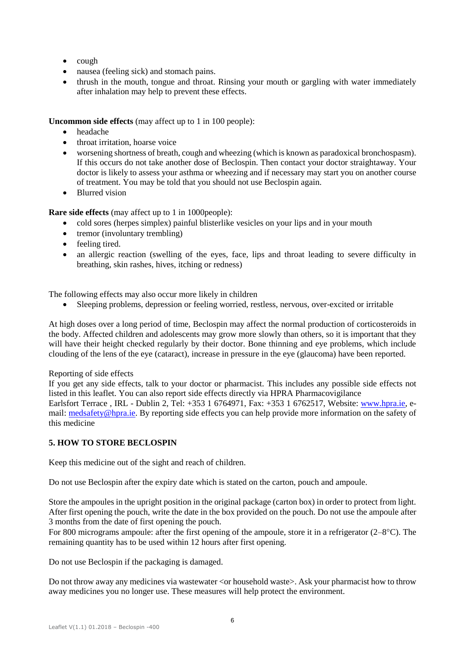- cough
- nausea (feeling sick) and stomach pains.
- thrush in the mouth, tongue and throat. Rinsing your mouth or gargling with water immediately after inhalation may help to prevent these effects.

**Uncommon side effects** (may affect up to 1 in 100 people):

- headache
- throat irritation, hoarse voice
- worsening shortness of breath, cough and wheezing (which is known as paradoxical bronchospasm). If this occurs do not take another dose of Beclospin. Then contact your doctor straightaway. Your doctor is likely to assess your asthma or wheezing and if necessary may start you on another course of treatment. You may be told that you should not use Beclospin again.
- Blurred vision

**Rare side effects** (may affect up to 1 in 1000people):

- cold sores (herpes simplex) painful blisterlike vesicles on your lips and in your mouth
- tremor (involuntary trembling)
- feeling tired.
- an allergic reaction (swelling of the eyes, face, lips and throat leading to severe difficulty in breathing, skin rashes, hives, itching or redness)

The following effects may also occur more likely in children

Sleeping problems, depression or feeling worried, restless, nervous, over-excited or irritable

At high doses over a long period of time, Beclospin may affect the normal production of corticosteroids in the body. Affected children and adolescents may grow more slowly than others, so it is important that they will have their height checked regularly by their doctor. Bone thinning and eye problems, which include clouding of the lens of the eye (cataract), increase in pressure in the eye (glaucoma) have been reported.

## Reporting of side effects

If you get any side effects, talk to your doctor or pharmacist. This includes any possible side effects not listed in this leaflet. You can also report side effects directly via HPRA Pharmacovigilance Earlsfort Terrace , IRL - Dublin 2, Tel: +353 1 6764971, Fax: +353 1 6762517, Website: [www.hpra.ie,](http://www.hpra.ie/) e-mail[: medsafety@hpra.ie.](mailto:medsafety@hpra.ie) By reporting side effects you can help provide more information on the safety of this medicine

# **5. HOW TO STORE BECLOSPIN**

Keep this medicine out of the sight and reach of children.

Do not use Beclospin after the expiry date which is stated on the carton, pouch and ampoule.

Store the ampoules in the upright position in the original package (carton box) in order to protect from light. After first opening the pouch, write the date in the box provided on the pouch. Do not use the ampoule after 3 months from the date of first opening the pouch.

For 800 micrograms ampoule: after the first opening of the ampoule, store it in a refrigerator (2–8C). The remaining quantity has to be used within 12 hours after first opening.

Do not use Beclospin if the packaging is damaged.

Do not throw away any medicines via wastewater <or household waste>. Ask your pharmacist how to throw away medicines you no longer use. These measures will help protect the environment.